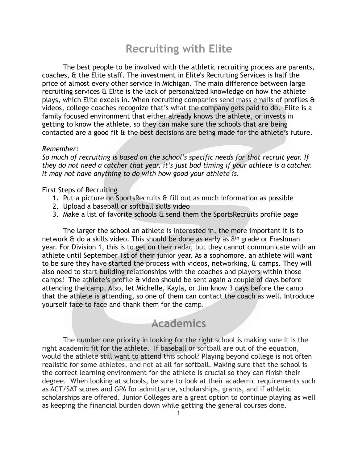## **Recruiting with Elite**

 The best people to be involved with the athletic recruiting process are parents, coaches, & the Elite staff. The investment in Elite's Recruiting Services is half the price of almost every other service in Michigan. The main difference between large recruiting services & Elite is the lack of personalized knowledge on how the athlete plays, which Elite excels in. When recruiting companies send mass emails of profiles & videos, college coaches recognize that's what the company gets paid to do. Elite is a family focused environment that either already knows the athlete, or invests in getting to know the athlete, so they can make sure the schools that are being contacted are a good fit & the best decisions are being made for the athlete's future.

## *Remember:*

*So much of recruiting is based on the school's specific needs for that recruit year. If they do not need a catcher that year, it's just bad timing if your athlete is a catcher. It may not have anything to do with how good your athlete is.* 

## First Steps of Recruiting

- 1. Put a picture on SportsRecruits & fill out as much information as possible
- 2. Upload a baseball or softball skills video
- 3. Make a list of favorite schools & send them the SportsRecruits profile page

 The larger the school an athlete is interested in, the more important it is to network & do a skills video. This should be done as early as 8th grade or Freshman year. For Division 1, this is to get on their radar, but they cannot communicate with an athlete until September 1st of their junior year. As a sophomore, an athlete will want to be sure they have started the process with videos, networking, & camps. They will also need to start building relationships with the coaches and players within those camps! The athlete's profile & video should be sent again a couple of days before attending the camp. Also, let Michelle, Kayla, or Jim know 3 days before the camp that the athlete is attending, so one of them can contact the coach as well. Introduce yourself face to face and thank them for the camp.

## **Academics**

The number one priority in looking for the right school is making sure it is the right academic fit for the athlete. If baseball or softball are out of the equation, would the athlete still want to attend this school? Playing beyond college is not often realistic for some athletes, and not at all for softball. Making sure that the school is the correct learning environment for the athlete is crucial so they can finish their degree. When looking at schools, be sure to look at their academic requirements such as ACT/SAT scores and GPA for admittance, scholarships, grants, and if athletic scholarships are offered. Junior Colleges are a great option to continue playing as well as keeping the financial burden down while getting the general courses done.